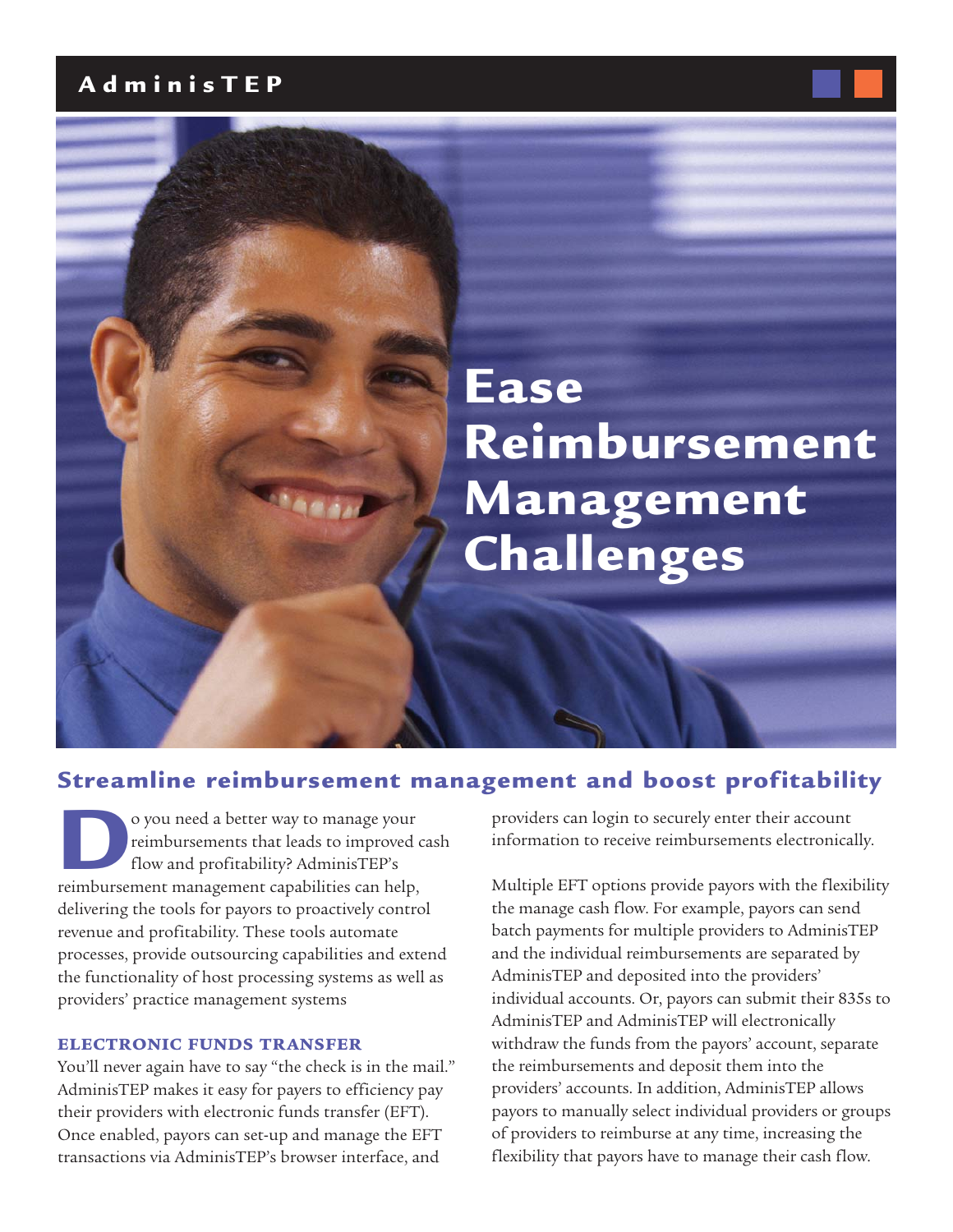## **AdminisTEP**

# **Ease Reimbursement Management Challenges**

## **Streamline reimbursement management and boost profitability**

o you need a better way to manage your<br>
reimbursements that leads to improved<br>
flow and profitability? AdminisTEP's<br>
reimbursement management capabilities can help, reimbursements that leads to improved cash flow and profitability? AdminisTEP's delivering the tools for payors to proactively control revenue and profitability. These tools automate processes, provide outsourcing capabilities and extend the functionality of host processing systems as well as providers' practice management systems

#### **ELECTRONIC FUNDS TRANSFER**

You'll never again have to say "the check is in the mail." AdminisTEP makes it easy for payers to efficiency pay their providers with electronic funds transfer (EFT). Once enabled, payors can set-up and manage the EFT transactions via AdminisTEP's browser interface, and

providers can login to securely enter their account information to receive reimbursements electronically.

Multiple EFT options provide payors with the flexibility the manage cash flow. For example, payors can send batch payments for multiple providers to AdminisTEP and the individual reimbursements are separated by AdminisTEP and deposited into the providers' individual accounts. Or, payors can submit their 835s to AdminisTEP and AdminisTEP will electronically withdraw the funds from the payors' account, separate the reimbursements and deposit them into the providers' accounts. In addition, AdminisTEP allows payors to manually select individual providers or groups of providers to reimburse at any time, increasing the flexibility that payors have to manage their cash flow.